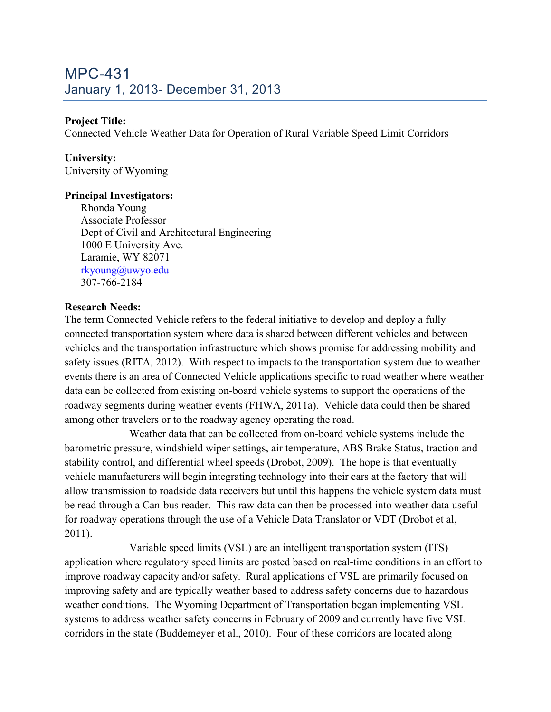# MPC-431 January 1, 2013- December 31, 2013

# **Project Title:**

Connected Vehicle Weather Data for Operation of Rural Variable Speed Limit Corridors

# **University:**

University of Wyoming

## **Principal Investigators:**

Rhonda Young Associate Professor Dept of Civil and Architectural Engineering 1000 E University Ave. Laramie, WY 82071 rkyoung@uwyo.edu 307-766-2184

## **Research Needs:**

The term Connected Vehicle refers to the federal initiative to develop and deploy a fully connected transportation system where data is shared between different vehicles and between vehicles and the transportation infrastructure which shows promise for addressing mobility and safety issues (RITA, 2012). With respect to impacts to the transportation system due to weather events there is an area of Connected Vehicle applications specific to road weather where weather data can be collected from existing on-board vehicle systems to support the operations of the roadway segments during weather events (FHWA, 2011a). Vehicle data could then be shared among other travelers or to the roadway agency operating the road.

Weather data that can be collected from on-board vehicle systems include the barometric pressure, windshield wiper settings, air temperature, ABS Brake Status, traction and stability control, and differential wheel speeds (Drobot, 2009). The hope is that eventually vehicle manufacturers will begin integrating technology into their cars at the factory that will allow transmission to roadside data receivers but until this happens the vehicle system data must be read through a Can-bus reader. This raw data can then be processed into weather data useful for roadway operations through the use of a Vehicle Data Translator or VDT (Drobot et al, 2011).

Variable speed limits (VSL) are an intelligent transportation system (ITS) application where regulatory speed limits are posted based on real-time conditions in an effort to improve roadway capacity and/or safety. Rural applications of VSL are primarily focused on improving safety and are typically weather based to address safety concerns due to hazardous weather conditions. The Wyoming Department of Transportation began implementing VSL systems to address weather safety concerns in February of 2009 and currently have five VSL corridors in the state (Buddemeyer et al., 2010). Four of these corridors are located along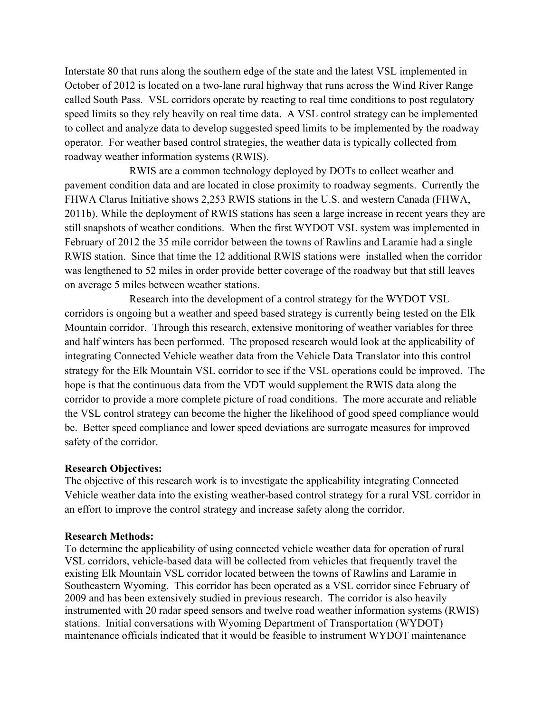Interstate 80 that runs along the southern edge of the state and the latest VSL implemented in October of 2012 is located on a two-lane rural highway that runs across the Wind River Range called South Pass. VSL corridors operate by reacting to real time conditions to post regulatory speed limits so they rely heavily on real time data. A VSL control strategy can be implemented to collect and analyze data to develop suggested speed limits to be implemented by the roadway operator. For weather based control strategies, the weather data is typically collected from roadway weather information systems (RWIS).

RWIS are a common technology deployed by DOTs to collect weather and pavement condition data and are located in close proximity to roadway segments. Currently the FHWA Clarus Initiative shows 2,253 RWIS stations in the U.S. and western Canada (FHWA, 2011b). While the deployment of RWIS stations has seen a large increase in recent years they are still snapshots of weather conditions. When the first WYDOT VSL system was implemented in February of 2012 the 35 mile corridor between the towns of Rawlins and Laramie had a single RWIS station. Since that time the 12 additional RWIS stations were installed when the corridor was lengthened to 52 miles in order provide better coverage of the roadway but that still leaves on average 5 miles between weather stations.

Research into the development of a control strategy for the WYDOT VSL corridors is ongoing but a weather and speed based strategy is currently being tested on the Elk Mountain corridor. Through this research, extensive monitoring of weather variables for three and half winters has been performed. The proposed research would look at the applicability of integrating Connected Vehicle weather data from the Vehicle Data Translator into this control strategy for the Elk Mountain VSL corridor to see if the VSL operations could be improved. The hope is that the continuous data from the VDT would supplement the RWIS data along the corridor to provide a more complete picture of road conditions. The more accurate and reliable the VSL control strategy can become the higher the likelihood of good speed compliance would be. Better speed compliance and lower speed deviations are surrogate measures for improved safety of the corridor.

### **Research Objectives:**

The objective of this research work is to investigate the applicability integrating Connected Vehicle weather data into the existing weather-based control strategy for a rural VSL corridor in an effort to improve the control strategy and increase safety along the corridor.

#### **Research Methods:**

To determine the applicability of using connected vehicle weather data for operation of rural VSL corridors, vehicle-based data will be collected from vehicles that frequently travel the existing Elk Mountain VSL corridor located between the towns of Rawlins and Laramie in Southeastern Wyoming. This corridor has been operated as a VSL corridor since February of 2009 and has been extensively studied in previous research. The corridor is also heavily instrumented with 20 radar speed sensors and twelve road weather information systems (RWIS) stations. Initial conversations with Wyoming Department of Transportation (WYDOT) maintenance officials indicated that it would be feasible to instrument WYDOT maintenance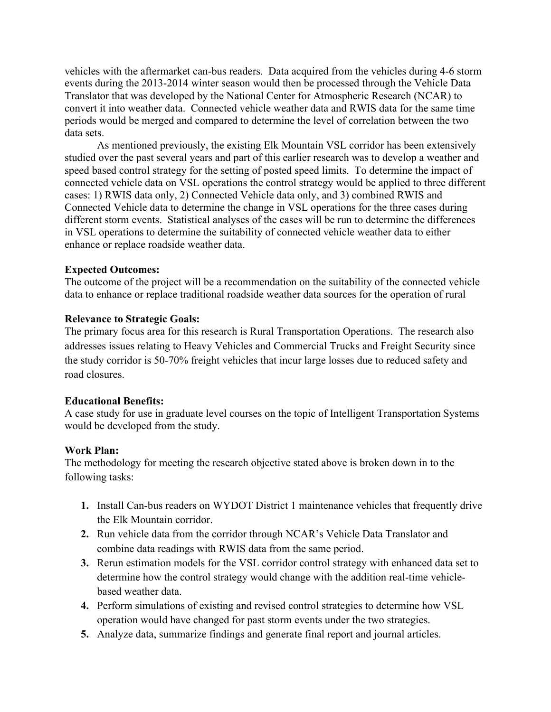vehicles with the aftermarket can-bus readers. Data acquired from the vehicles during 4-6 storm events during the 2013-2014 winter season would then be processed through the Vehicle Data Translator that was developed by the National Center for Atmospheric Research (NCAR) to convert it into weather data. Connected vehicle weather data and RWIS data for the same time periods would be merged and compared to determine the level of correlation between the two data sets.

As mentioned previously, the existing Elk Mountain VSL corridor has been extensively studied over the past several years and part of this earlier research was to develop a weather and speed based control strategy for the setting of posted speed limits. To determine the impact of connected vehicle data on VSL operations the control strategy would be applied to three different cases: 1) RWIS data only, 2) Connected Vehicle data only, and 3) combined RWIS and Connected Vehicle data to determine the change in VSL operations for the three cases during different storm events. Statistical analyses of the cases will be run to determine the differences in VSL operations to determine the suitability of connected vehicle weather data to either enhance or replace roadside weather data.

### **Expected Outcomes:**

The outcome of the project will be a recommendation on the suitability of the connected vehicle data to enhance or replace traditional roadside weather data sources for the operation of rural

#### **Relevance to Strategic Goals:**

The primary focus area for this research is Rural Transportation Operations. The research also addresses issues relating to Heavy Vehicles and Commercial Trucks and Freight Security since the study corridor is 50-70% freight vehicles that incur large losses due to reduced safety and road closures.

#### **Educational Benefits:**

A case study for use in graduate level courses on the topic of Intelligent Transportation Systems would be developed from the study.

#### **Work Plan:**

The methodology for meeting the research objective stated above is broken down in to the following tasks:

- **1.** Install Can-bus readers on WYDOT District 1 maintenance vehicles that frequently drive the Elk Mountain corridor.
- **2.** Run vehicle data from the corridor through NCAR's Vehicle Data Translator and combine data readings with RWIS data from the same period.
- **3.** Rerun estimation models for the VSL corridor control strategy with enhanced data set to determine how the control strategy would change with the addition real-time vehiclebased weather data.
- **4.** Perform simulations of existing and revised control strategies to determine how VSL operation would have changed for past storm events under the two strategies.
- **5.** Analyze data, summarize findings and generate final report and journal articles.